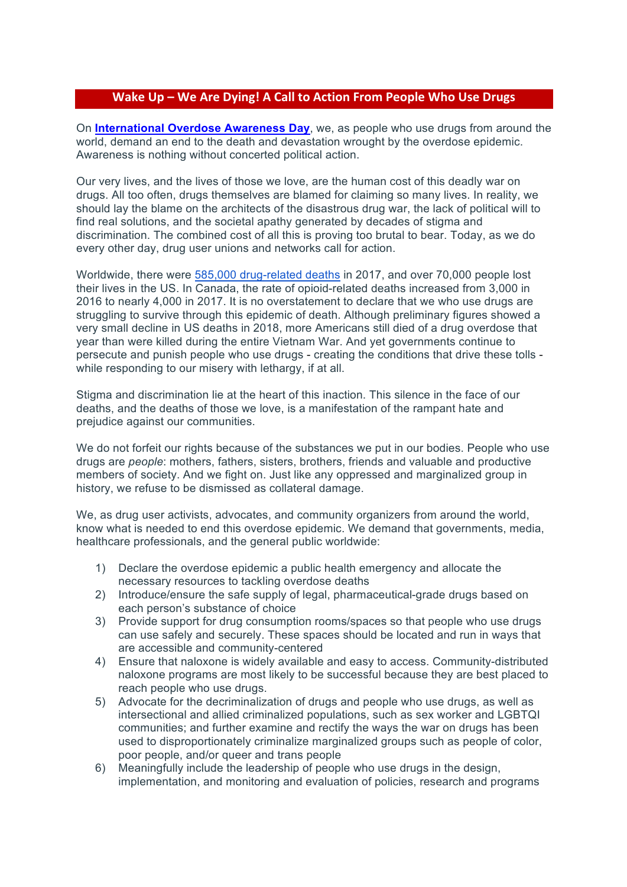## **Wake Up – We Are Dying! A Call to Action From People Who Use Drugs**

On **International Overdose Awareness Day**, we, as people who use drugs from around the world, demand an end to the death and devastation wrought by the overdose epidemic. Awareness is nothing without concerted political action.

Our very lives, and the lives of those we love, are the human cost of this deadly war on drugs. All too often, drugs themselves are blamed for claiming so many lives. In reality, we should lay the blame on the architects of the disastrous drug war, the lack of political will to find real solutions, and the societal apathy generated by decades of stigma and discrimination. The combined cost of all this is proving too brutal to bear. Today, as we do every other day, drug user unions and networks call for action.

Worldwide, there were 585,000 drug-related deaths in 2017, and over 70,000 people lost their lives in the US. In Canada, the rate of opioid-related deaths increased from 3,000 in 2016 to nearly 4,000 in 2017. It is no overstatement to declare that we who use drugs are struggling to survive through this epidemic of death. Although preliminary figures showed a very small decline in US deaths in 2018, more Americans still died of a drug overdose that year than were killed during the entire Vietnam War. And yet governments continue to persecute and punish people who use drugs - creating the conditions that drive these tolls while responding to our misery with lethargy, if at all.

Stigma and discrimination lie at the heart of this inaction. This silence in the face of our deaths, and the deaths of those we love, is a manifestation of the rampant hate and prejudice against our communities.

We do not forfeit our rights because of the substances we put in our bodies. People who use drugs are *people*: mothers, fathers, sisters, brothers, friends and valuable and productive members of society. And we fight on. Just like any oppressed and marginalized group in history, we refuse to be dismissed as collateral damage.

We, as drug user activists, advocates, and community organizers from around the world, know what is needed to end this overdose epidemic. We demand that governments, media, healthcare professionals, and the general public worldwide:

- 1) Declare the overdose epidemic a public health emergency and allocate the necessary resources to tackling overdose deaths
- 2) Introduce/ensure the safe supply of legal, pharmaceutical-grade drugs based on each person's substance of choice
- 3) Provide support for drug consumption rooms/spaces so that people who use drugs can use safely and securely. These spaces should be located and run in ways that are accessible and community-centered
- 4) Ensure that naloxone is widely available and easy to access. Community-distributed naloxone programs are most likely to be successful because they are best placed to reach people who use drugs.
- 5) Advocate for the decriminalization of drugs and people who use drugs, as well as intersectional and allied criminalized populations, such as sex worker and LGBTQI communities; and further examine and rectify the ways the war on drugs has been used to disproportionately criminalize marginalized groups such as people of color, poor people, and/or queer and trans people
- 6) Meaningfully include the leadership of people who use drugs in the design, implementation, and monitoring and evaluation of policies, research and programs